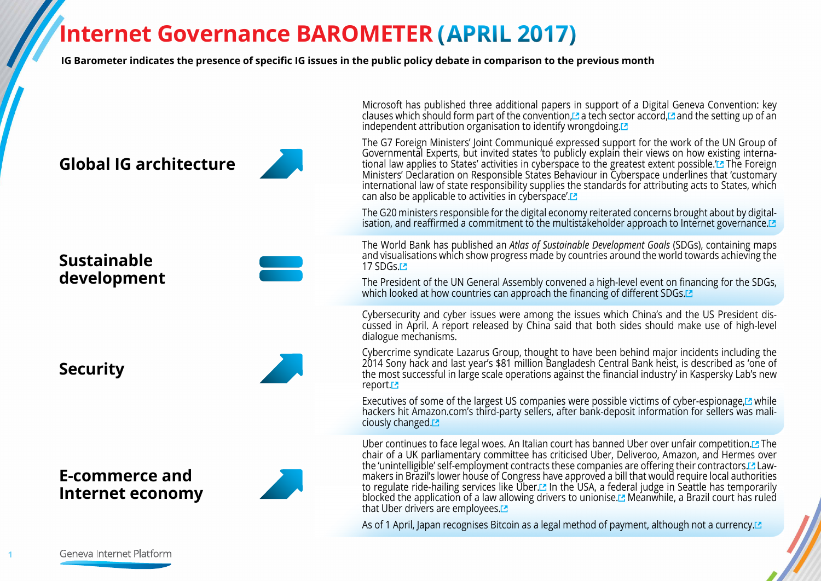## **Internet Governance BAROMETER (APRIL 2017)**

**IG Barometer indicates the presence of specific IG issues in the public policy debate in comparison to the previous month**



**1**